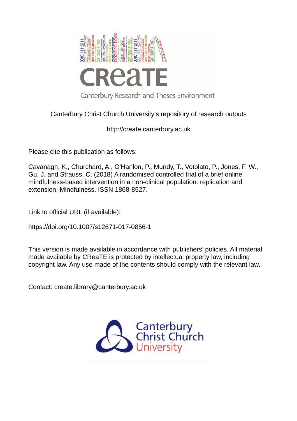

# Canterbury Christ Church University's repository of research outputs

http://create.canterbury.ac.uk

Please cite this publication as follows:

Cavanagh, K., Churchard, A., O'Hanlon, P., Mundy, T., Votolato, P., Jones, F. W., Gu, J. and Strauss, C. (2018) A randomised controlled trial of a brief online mindfulness-based intervention in a non-clinical population: replication and extension. Mindfulness. ISSN 1868-8527.

Link to official URL (if available):

https://doi.org/10.1007/s12671-017-0856-1

This version is made available in accordance with publishers' policies. All material made available by CReaTE is protected by intellectual property law, including copyright law. Any use made of the contents should comply with the relevant law.

Contact: create.library@canterbury.ac.uk

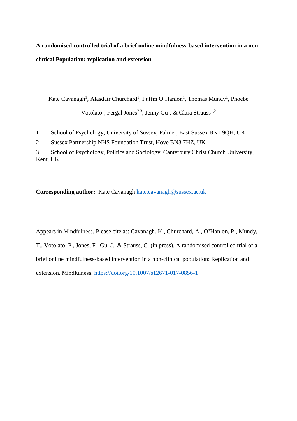# **A randomised controlled trial of a brief online mindfulness-based intervention in a nonclinical Population: replication and extension**

Kate Cavanagh<sup>1</sup>, Alasdair Churchard<sup>1</sup>, Puffin O'Hanlon<sup>1</sup>, Thomas Mundy<sup>1</sup>, Phoebe Votolato<sup>1</sup>, Fergal Jones<sup>2,3</sup>, Jenny Gu<sup>1</sup>, & Clara Strauss<sup>1,2</sup>

1 School of Psychology, University of Sussex, Falmer, East Sussex BN1 9QH, UK

2 Sussex Partnership NHS Foundation Trust, Hove BN3 7HZ, UK

3 School of Psychology, Politics and Sociology, Canterbury Christ Church University, Kent, UK

**Corresponding author:** Kate Cavanagh [kate.cavanagh@sussex.ac.uk](mailto:kate.cavanagh@sussex.ac.uk)

Appears in Mindfulness. Please cite as: Cavanagh, K., Churchard, A., O**'**Hanlon, P., Mundy, T., Votolato, P., Jones, F., Gu, J., & Strauss, C. (in press). A randomised controlled trial of a brief online mindfulness-based intervention in a non-clinical population: Replication and extension. Mindfulness. <https://doi.org/10.1007/s12671-017-0856-1>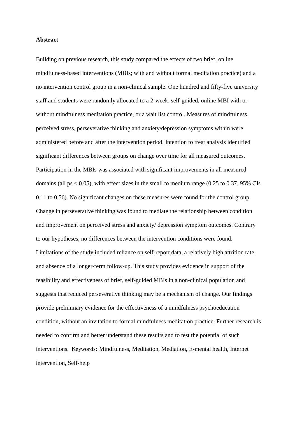## **Abstract**

Building on previous research, this study compared the effects of two brief, online mindfulness-based interventions (MBIs; with and without formal meditation practice) and a no intervention control group in a non-clinical sample. One hundred and fifty-five university staff and students were randomly allocated to a 2-week, self-guided, online MBI with or without mindfulness meditation practice, or a wait list control. Measures of mindfulness, perceived stress, perseverative thinking and anxiety/depression symptoms within were administered before and after the intervention period. Intention to treat analysis identified significant differences between groups on change over time for all measured outcomes. Participation in the MBIs was associated with significant improvements in all measured domains (all ps  $< 0.05$ ), with effect sizes in the small to medium range (0.25 to 0.37, 95% CIs 0.11 to 0.56). No significant changes on these measures were found for the control group. Change in perseverative thinking was found to mediate the relationship between condition and improvement on perceived stress and anxiety/ depression symptom outcomes. Contrary to our hypotheses, no differences between the intervention conditions were found. Limitations of the study included reliance on self-report data, a relatively high attrition rate and absence of a longer-term follow-up. This study provides evidence in support of the feasibility and effectiveness of brief, self-guided MBIs in a non-clinical population and suggests that reduced perseverative thinking may be a mechanism of change. Our findings provide preliminary evidence for the effectiveness of a mindfulness psychoeducation condition, without an invitation to formal mindfulness meditation practice. Further research is needed to confirm and better understand these results and to test the potential of such interventions. Keywords: Mindfulness, Meditation, Mediation, E-mental health, Internet intervention, Self-help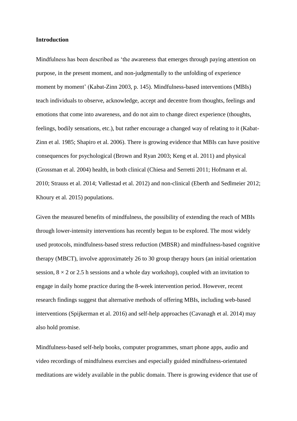## **Introduction**

Mindfulness has been described as 'the awareness that emerges through paying attention on purpose, in the present moment, and non-judgmentally to the unfolding of experience moment by moment' (Kabat-Zinn 2003, p. 145). Mindfulness-based interventions (MBIs) teach individuals to observe, acknowledge, accept and decentre from thoughts, feelings and emotions that come into awareness, and do not aim to change direct experience (thoughts, feelings, bodily sensations, etc.), but rather encourage a changed way of relating to it (Kabat-Zinn et al. 1985; Shapiro et al. 2006). There is growing evidence that MBIs can have positive consequences for psychological (Brown and Ryan 2003; Keng et al. 2011) and physical (Grossman et al. 2004) health, in both clinical (Chiesa and Serretti 2011; Hofmann et al. 2010; Strauss et al. 2014; Vøllestad et al. 2012) and non-clinical (Eberth and Sedlmeier 2012; Khoury et al. 2015) populations.

Given the measured benefits of mindfulness, the possibility of extending the reach of MBIs through lower-intensity interventions has recently begun to be explored. The most widely used protocols, mindfulness-based stress reduction (MBSR) and mindfulness-based cognitive therapy (MBCT), involve approximately 26 to 30 group therapy hours (an initial orientation session,  $8 \times 2$  or 2.5 h sessions and a whole day workshop), coupled with an invitation to engage in daily home practice during the 8-week intervention period. However, recent research findings suggest that alternative methods of offering MBIs, including web-based interventions (Spijkerman et al. 2016) and self-help approaches (Cavanagh et al. 2014) may also hold promise.

Mindfulness-based self-help books, computer programmes, smart phone apps, audio and video recordings of mindfulness exercises and especially guided mindfulness-orientated meditations are widely available in the public domain. There is growing evidence that use of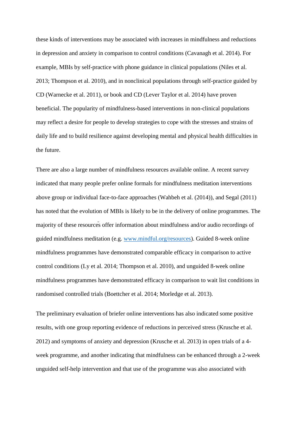these kinds of interventions may be associated with increases in mindfulness and reductions in depression and anxiety in comparison to control conditions (Cavanagh et al. 2014). For example, MBIs by self-practice with phone guidance in clinical populations (Niles et al. 2013; Thompson et al. 2010), and in nonclinical populations through self-practice guided by CD (Warnecke et al. 2011), or book and CD (Lever Taylor et al. 2014) have proven beneficial. The popularity of mindfulness-based interventions in non-clinical populations may reflect a desire for people to develop strategies to cope with the stresses and strains of daily life and to build resilience against developing mental and physical health difficulties in the future.

There are also a large number of mindfulness resources available online. A recent survey indicated that many people prefer online formals for mindfulness meditation interventions above group or individual face-to-face approaches (Wahbeh et al. (2014)), and Segal (2011) has noted that the evolution of MBIs is likely to be in the delivery of online programmes. The majority of these resources offer information about mindfulness and/or audio recordings of guided mindfulness meditation (e.g. [www.mindful.org/resources\)](http://www.mindful.org/resources). Guided 8-week online mindfulness programmes have demonstrated comparable efficacy in comparison to active control conditions (Ly et al. 2014; Thompson et al. 2010), and unguided 8-week online mindfulness programmes have demonstrated efficacy in comparison to wait list conditions in randomised controlled trials (Boettcher et al. 2014; Morledge et al. 2013).

The preliminary evaluation of briefer online interventions has also indicated some positive results, with one group reporting evidence of reductions in perceived stress (Krusche et al. 2012) and symptoms of anxiety and depression (Krusche et al. 2013) in open trials of a 4 week programme, and another indicating that mindfulness can be enhanced through a 2-week unguided self-help intervention and that use of the programme was also associated with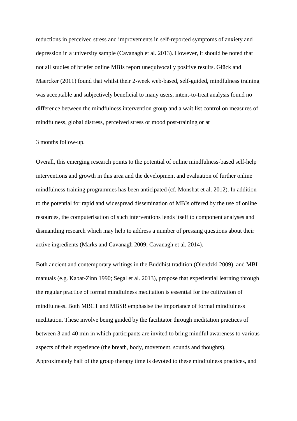reductions in perceived stress and improvements in self-reported symptoms of anxiety and depression in a university sample (Cavanagh et al. 2013). However, it should be noted that not all studies of briefer online MBIs report unequivocally positive results. Glück and Maercker (2011) found that whilst their 2-week web-based, self-guided, mindfulness training was acceptable and subjectively beneficial to many users, intent-to-treat analysis found no difference between the mindfulness intervention group and a wait list control on measures of mindfulness, global distress, perceived stress or mood post-training or at

## 3 months follow-up.

Overall, this emerging research points to the potential of online mindfulness-based self-help interventions and growth in this area and the development and evaluation of further online mindfulness training programmes has been anticipated (cf. Monshat et al. 2012). In addition to the potential for rapid and widespread dissemination of MBIs offered by the use of online resources, the computerisation of such interventions lends itself to component analyses and dismantling research which may help to address a number of pressing questions about their active ingredients (Marks and Cavanagh 2009; Cavanagh et al. 2014).

Both ancient and contemporary writings in the Buddhist tradition (Olendzki 2009), and MBI manuals (e.g. Kabat-Zinn 1990; Segal et al. 2013), propose that experiential learning through the regular practice of formal mindfulness meditation is essential for the cultivation of mindfulness. Both MBCT and MBSR emphasise the importance of formal mindfulness meditation. These involve being guided by the facilitator through meditation practices of between 3 and 40 min in which participants are invited to bring mindful awareness to various aspects of their experience (the breath, body, movement, sounds and thoughts). Approximately half of the group therapy time is devoted to these mindfulness practices, and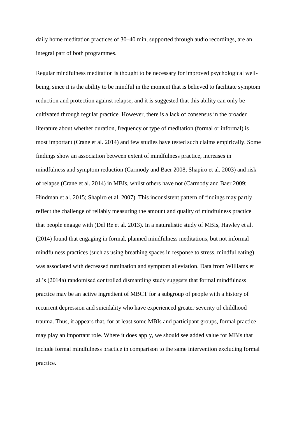daily home meditation practices of 30–40 min, supported through audio recordings, are an integral part of both programmes.

Regular mindfulness meditation is thought to be necessary for improved psychological wellbeing, since it is the ability to be mindful in the moment that is believed to facilitate symptom reduction and protection against relapse, and it is suggested that this ability can only be cultivated through regular practice. However, there is a lack of consensus in the broader literature about whether duration, frequency or type of meditation (formal or informal) is most important (Crane et al. 2014) and few studies have tested such claims empirically. Some findings show an association between extent of mindfulness practice, increases in mindfulness and symptom reduction (Carmody and Baer 2008; Shapiro et al. 2003) and risk of relapse (Crane et al. 2014) in MBIs, whilst others have not (Carmody and Baer 2009; Hindman et al. 2015; Shapiro et al. 2007). This inconsistent pattern of findings may partly reflect the challenge of reliably measuring the amount and quality of mindfulness practice that people engage with (Del Re et al. 2013). In a naturalistic study of MBIs, Hawley et al. (2014) found that engaging in formal, planned mindfulness meditations, but not informal mindfulness practices (such as using breathing spaces in response to stress, mindful eating) was associated with decreased rumination and symptom alleviation. Data from Williams et al.'s (2014a) randomised controlled dismantling study suggests that formal mindfulness practice may be an active ingredient of MBCT for a subgroup of people with a history of recurrent depression and suicidality who have experienced greater severity of childhood trauma. Thus, it appears that, for at least some MBIs and participant groups, formal practice may play an important role. Where it does apply, we should see added value for MBIs that include formal mindfulness practice in comparison to the same intervention excluding formal practice.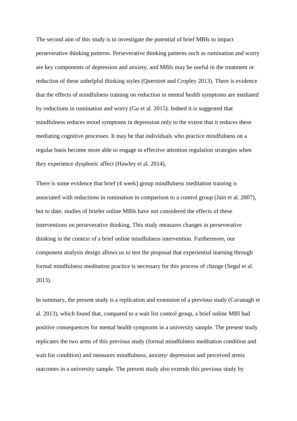The second aim of this study is to investigate the potential of brief MBIs to impact perseverative thinking patterns. Perseverative thinking patterns such as rumination and worry are key components of depression and anxiety, and MBIs may be useful in the treatment or reduction of these unhelpful thinking styles (Querstret and Cropley 2013). There is evidence that the effects of mindfulness training on reduction in mental health symptoms are mediated by reductions in rumination and worry (Gu et al. 2015). Indeed it is suggested that mindfulness reduces mood symptoms in depression only to the extent that it reduces these mediating cognitive processes. It may be that individuals who practice mindfulness on a regular basis become more able to engage in effective attention regulation strategies when they experience dysphoric affect (Hawley et al. 2014).

There is some evidence that brief (4 week) group mindfulness meditation training is associated with reductions in rumination in comparison to a control group (Jain et al. 2007), but to date, studies of briefer online MBIs have not considered the effects of these interventions on perseverative thinking. This study measures changes in perseverative thinking in the context of a brief online mindfulness intervention. Furthermore, our component analysis design allows us to test the proposal that experiential learning through formal mindfulness meditation practice is necessary for this process of change (Segal et al. 2013).

In summary, the present study is a replication and extension of a previous study (Cavanagh et al. 2013), which found that, compared to a wait list control group, a brief online MBI had positive consequences for mental health symptoms in a university sample. The present study replicates the two arms of this previous study (formal mindfulness meditation condition and wait list condition) and measures mindfulness, anxiety/ depression and perceived stress outcomes in a university sample. The present study also extends this previous study by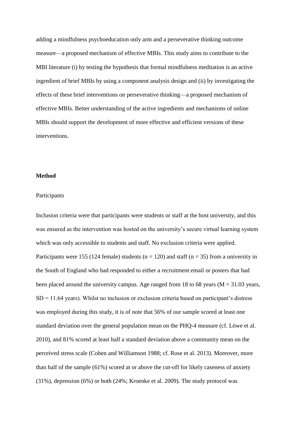adding a mindfulness psychoeducation only arm and a perseverative thinking outcome measure—a proposed mechanism of effective MBIs. This study aims to contribute to the MBI literature (i) by testing the hypothesis that formal mindfulness meditation is an active ingredient of brief MBIs by using a component analysis design and (ii) by investigating the effects of these brief interventions on perseverative thinking—a proposed mechanism of effective MBIs. Better understanding of the active ingredients and mechanisms of online MBIs should support the development of more effective and efficient versions of these interventions.

#### **Method**

## Participants

Inclusion criteria were that participants were students or staff at the host university, and this was ensured as the intervention was hosted on the university's secure virtual learning system which was only accessible to students and staff. No exclusion criteria were applied. Participants were 155 (124 female) students ( $n = 120$ ) and staff ( $n = 35$ ) from a university in the South of England who had responded to either a recruitment email or posters that had been placed around the university campus. Age ranged from 18 to 68 years ( $M = 31.03$  years,  $SD = 11.64$  years). Whilst no inclusion or exclusion criteria based on participant's distress was employed during this study, it is of note that 56% of our sample scored at least one standard deviation over the general population mean on the PHQ-4 measure (cf. Löwe et al. 2010), and 81% scored at least half a standard deviation above a community mean on the perceived stress scale (Cohen and Williamson 1988; cf. Rose et al. 2013). Moreover, more than half of the sample (61%) scored at or above the cut-off for likely caseness of anxiety (31%), depression (6%) or both (24%; Kroenke et al. 2009). The study protocol was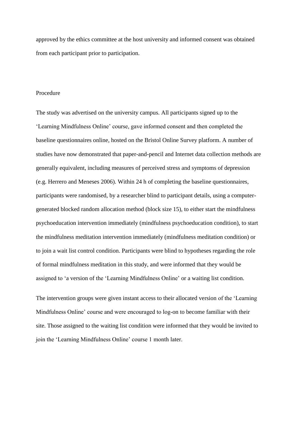approved by the ethics committee at the host university and informed consent was obtained from each participant prior to participation.

# Procedure

The study was advertised on the university campus. All participants signed up to the 'Learning Mindfulness Online' course, gave informed consent and then completed the baseline questionnaires online, hosted on the Bristol Online Survey platform. A number of studies have now demonstrated that paper-and-pencil and Internet data collection methods are generally equivalent, including measures of perceived stress and symptoms of depression (e.g. Herrero and Meneses 2006). Within 24 h of completing the baseline questionnaires, participants were randomised, by a researcher blind to participant details, using a computergenerated blocked random allocation method (block size 15), to either start the mindfulness psychoeducation intervention immediately (mindfulness psychoeducation condition), to start the mindfulness meditation intervention immediately (mindfulness meditation condition) or to join a wait list control condition. Participants were blind to hypotheses regarding the role of formal mindfulness meditation in this study, and were informed that they would be assigned to 'a version of the 'Learning Mindfulness Online' or a waiting list condition.

The intervention groups were given instant access to their allocated version of the 'Learning Mindfulness Online' course and were encouraged to log-on to become familiar with their site. Those assigned to the waiting list condition were informed that they would be invited to join the 'Learning Mindfulness Online' course 1 month later.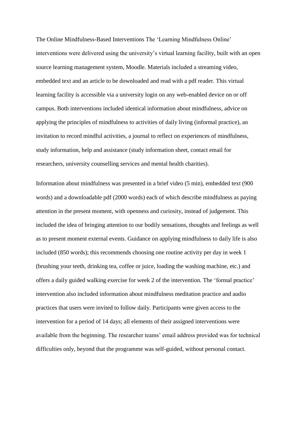The Online Mindfulness-Based Interventions The 'Learning Mindfulness Online' interventions were delivered using the university's virtual learning facility, built with an open source learning management system, Moodle. Materials included a streaming video, embedded text and an article to be downloaded and read with a pdf reader. This virtual learning facility is accessible via a university login on any web-enabled device on or off campus. Both interventions included identical information about mindfulness, advice on applying the principles of mindfulness to activities of daily living (informal practice), an invitation to record mindful activities, a journal to reflect on experiences of mindfulness, study information, help and assistance (study information sheet, contact email for researchers, university counselling services and mental health charities).

Information about mindfulness was presented in a brief video (5 min), embedded text (900 words) and a downloadable pdf (2000 words) each of which describe mindfulness as paying attention in the present moment, with openness and curiosity, instead of judgement. This included the idea of bringing attention to our bodily sensations, thoughts and feelings as well as to present moment external events. Guidance on applying mindfulness to daily life is also included (850 words); this recommends choosing one routine activity per day in week 1 (brushing your teeth, drinking tea, coffee or juice, loading the washing machine, etc.) and offers a daily guided walking exercise for week 2 of the intervention. The 'formal practice' intervention also included information about mindfulness meditation practice and audio practices that users were invited to follow daily. Participants were given access to the intervention for a period of 14 days; all elements of their assigned interventions were available from the beginning. The researcher teams' email address provided was for technical difficulties only, beyond that the programme was self-guided, without personal contact.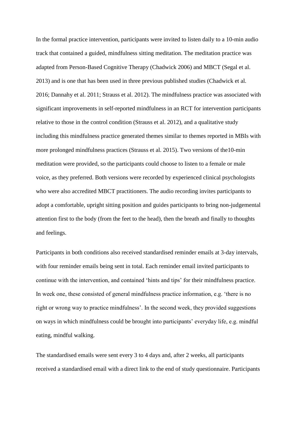In the formal practice intervention, participants were invited to listen daily to a 10-min audio track that contained a guided, mindfulness sitting meditation. The meditation practice was adapted from Person-Based Cognitive Therapy (Chadwick 2006) and MBCT (Segal et al. 2013) and is one that has been used in three previous published studies (Chadwick et al. 2016; Dannahy et al. 2011; Strauss et al. 2012). The mindfulness practice was associated with significant improvements in self-reported mindfulness in an RCT for intervention participants relative to those in the control condition (Strauss et al. 2012), and a qualitative study including this mindfulness practice generated themes similar to themes reported in MBIs with more prolonged mindfulness practices (Strauss et al. 2015). Two versions of the10-min meditation were provided, so the participants could choose to listen to a female or male voice, as they preferred. Both versions were recorded by experienced clinical psychologists who were also accredited MBCT practitioners. The audio recording invites participants to adopt a comfortable, upright sitting position and guides participants to bring non-judgemental attention first to the body (from the feet to the head), then the breath and finally to thoughts and feelings.

Participants in both conditions also received standardised reminder emails at 3-day intervals, with four reminder emails being sent in total. Each reminder email invited participants to continue with the intervention, and contained 'hints and tips' for their mindfulness practice. In week one, these consisted of general mindfulness practice information, e.g. 'there is no right or wrong way to practice mindfulness'. In the second week, they provided suggestions on ways in which mindfulness could be brought into participants' everyday life, e.g. mindful eating, mindful walking.

The standardised emails were sent every 3 to 4 days and, after 2 weeks, all participants received a standardised email with a direct link to the end of study questionnaire. Participants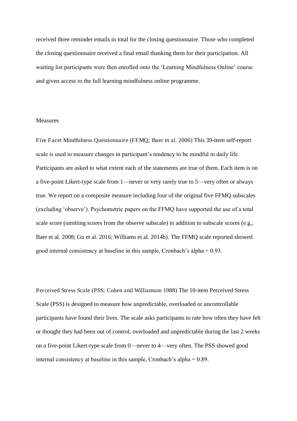received three reminder emails in total for the closing questionnaire. Those who completed the closing questionnaire received a final email thanking them for their participation. All waiting list participants were then enrolled onto the 'Learning Mindfulness Online' course and given access to the full learning mindfulness online programme.

#### Measures

Five Facet Mindfulness Questionnaire (FFMQ; Baer et al. 2006) This 39-item self-report scale is used to measure changes in participant's tendency to be mindful in daily life. Participants are asked to what extent each of the statements are true of them. Each item is on a five-point Likert-type scale from 1—never or very rarely true to 5—very often or always true. We report on a composite measure including four of the original five FFMQ subscales (excluding 'observe'). Psychometric papers on the FFMQ have supported the use of a total scale score (omitting scores from the observe subscale) in addition to subscale scores (e.g., Baer et al. 2008; Gu et al. 2016; Williams et al. 2014b). The FFMQ scale reported showed good internal consistency at baseline in this sample, Cronbach's alpha = 0.93.

Perceived Stress Scale (PSS; Cohen and Williamson 1988) The 10-item Perceived Stress Scale (PSS) is designed to measure how unpredictable, overloaded or uncontrollable participants have found their lives. The scale asks participants to rate how often they have felt or thought they had been out of control, overloaded and unpredictable during the last 2 weeks on a five-point Likert-type scale from 0—never to 4—very often. The PSS showed good internal consistency at baseline in this sample, Cronbach's alpha = 0.89.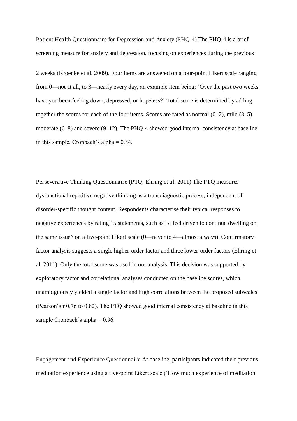Patient Health Questionnaire for Depression and Anxiety (PHQ-4) The PHQ-4 is a brief screening measure for anxiety and depression, focusing on experiences during the previous

2 weeks (Kroenke et al. 2009). Four items are answered on a four-point Likert scale ranging from 0—not at all, to 3—nearly every day, an example item being: 'Over the past two weeks have you been feeling down, depressed, or hopeless?' Total score is determined by adding together the scores for each of the four items. Scores are rated as normal (0–2), mild (3–5), moderate (6–8) and severe (9–12). The PHQ-4 showed good internal consistency at baseline in this sample, Cronbach's alpha  $= 0.84$ .

Perseverative Thinking Questionnaire (PTQ; Ehring et al. 2011) The PTQ measures dysfunctional repetitive negative thinking as a transdiagnostic process, independent of disorder-specific thought content. Respondents characterise their typical responses to negative experiences by rating 15 statements, such as BI feel driven to continue dwelling on the same issue^ on a five-point Likert scale (0—never to 4—almost always). Confirmatory factor analysis suggests a single higher-order factor and three lower-order factors (Ehring et al. 2011). Only the total score was used in our analysis. This decision was supported by exploratory factor and correlational analyses conducted on the baseline scores, which unambiguously yielded a single factor and high correlations between the proposed subscales (Pearson's r 0.76 to 0.82). The PTQ showed good internal consistency at baseline in this sample Cronbach's alpha = 0.96.

Engagement and Experience Questionnaire At baseline, participants indicated their previous meditation experience using a five-point Likert scale ('How much experience of meditation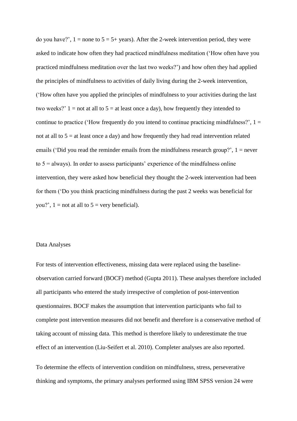do you have?',  $1 =$  none to  $5 = 5 +$  years). After the 2-week intervention period, they were asked to indicate how often they had practiced mindfulness meditation ('How often have you practiced mindfulness meditation over the last two weeks?') and how often they had applied the principles of mindfulness to activities of daily living during the 2-week intervention, ('How often have you applied the principles of mindfulness to your activities during the last two weeks?'  $1 =$  not at all to  $5 =$  at least once a day), how frequently they intended to continue to practice ('How frequently do you intend to continue practicing mindfulness?',  $1 =$ not at all to  $5 = at$  least once a day) and how frequently they had read intervention related emails ('Did you read the reminder emails from the mindfulness research group?', 1 = never to  $5 =$  always). In order to assess participants' experience of the mindfulness online intervention, they were asked how beneficial they thought the 2-week intervention had been for them ('Do you think practicing mindfulness during the past 2 weeks was beneficial for you?',  $1 =$  not at all to  $5 =$  very beneficial).

## Data Analyses

For tests of intervention effectiveness, missing data were replaced using the baselineobservation carried forward (BOCF) method (Gupta 2011). These analyses therefore included all participants who entered the study irrespective of completion of post-intervention questionnaires. BOCF makes the assumption that intervention participants who fail to complete post intervention measures did not benefit and therefore is a conservative method of taking account of missing data. This method is therefore likely to underestimate the true effect of an intervention (Liu-Seifert et al. 2010). Completer analyses are also reported.

To determine the effects of intervention condition on mindfulness, stress, perseverative thinking and symptoms, the primary analyses performed using IBM SPSS version 24 were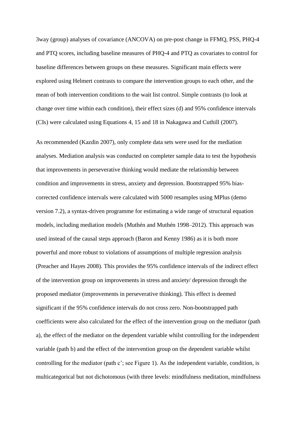3way (group) analyses of covariance (ANCOVA) on pre-post change in FFMQ, PSS, PHQ-4 and PTQ scores, including baseline measures of PHQ-4 and PTQ as covariates to control for baseline differences between groups on these measures. Significant main effects were explored using Helmert contrasts to compare the intervention groups to each other, and the mean of both intervention conditions to the wait list control. Simple contrasts (to look at change over time within each condition), their effect sizes (d) and 95% confidence intervals (CIs) were calculated using Equations 4, 15 and 18 in Nakagawa and Cuthill (2007).

As recommended (Kazdin 2007), only complete data sets were used for the mediation analyses. Mediation analysis was conducted on completer sample data to test the hypothesis that improvements in perseverative thinking would mediate the relationship between condition and improvements in stress, anxiety and depression. Bootstrapped 95% biascorrected confidence intervals were calculated with 5000 resamples using MPlus (demo version 7.2), a syntax-driven programme for estimating a wide range of structural equation models, including mediation models (Muthén and Muthén 1998–2012). This approach was used instead of the causal steps approach (Baron and Kenny 1986) as it is both more powerful and more robust to violations of assumptions of multiple regression analysis (Preacher and Hayes 2008). This provides the 95% confidence intervals of the indirect effect of the intervention group on improvements in stress and anxiety/ depression through the proposed mediator (improvements in perseverative thinking). This effect is deemed significant if the 95% confidence intervals do not cross zero. Non-bootstrapped path coefficients were also calculated for the effect of the intervention group on the mediator (path a), the effect of the mediator on the dependent variable whilst controlling for the independent variable (path b) and the effect of the intervention group on the dependent variable whilst controlling for the mediator (path c'; see Figure 1). As the independent variable, condition, is multicategorical but not dichotomous (with three levels: mindfulness meditation, mindfulness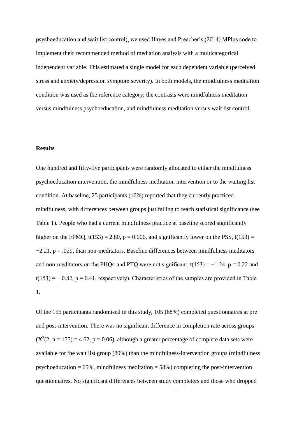psychoeducation and wait list control), we used Hayes and Preacher's (2014) MPlus code to implement their recommended method of mediation analysis with a multicategorical independent variable. This estimated a single model for each dependent variable (perceived stress and anxiety/depression symptom severity). In both models, the mindfulness meditation condition was used as the reference category; the contrasts were mindfulness meditation versus mindfulness psychoeducation, and mindfulness meditation versus wait list control.

# **Results**

One hundred and fifty-five participants were randomly allocated to either the mindfulness psychoeducation intervention, the mindfulness meditation intervention or to the waiting list condition. At baseline, 25 participants (16%) reported that they currently practiced mindfulness, with differences between groups just failing to reach statistical significance (see Table 1). People who had a current mindfulness practice at baseline scored significantly higher on the FFMQ,  $t(153) = 2.80$ ,  $p = 0.006$ , and significantly lower on the PSS,  $t(153) =$  $-2.21$ , p = .029, than non-meditators. Baseline differences between mindfulness meditators and non-meditators on the PHQ4 and PTQ were not significant,  $t(153) = -1.24$ ,  $p = 0.22$  and  $t(153) = -0.82$ ,  $p = 0.41$ , respectively). Characteristics of the samples are provided in Table 1.

Of the 155 participants randomised in this study, 105 (68%) completed questionnaires at pre and post-intervention. There was no significant difference in completion rate across groups  $(X<sup>2</sup>(2, n = 155) = 4.62, p = 0.06)$ , although a greater percentage of complete data sets were available for the wait list group (80%) than the mindfulness-intervention groups (mindfulness psychoeducation  $= 65\%$ , mindfulness meditation  $= 58\%$ ) completing the post-intervention questionnaires. No significant differences between study completers and those who dropped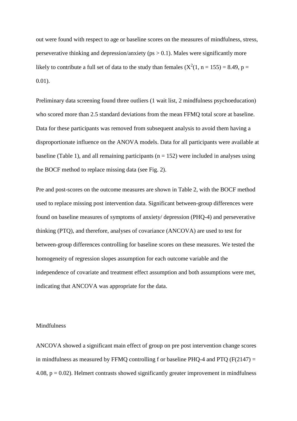out were found with respect to age or baseline scores on the measures of mindfulness, stress, perseverative thinking and depression/anxiety ( $ps > 0.1$ ). Males were significantly more likely to contribute a full set of data to the study than females  $(X^2(1, n = 155) = 8.49, p =$ 0.01).

Preliminary data screening found three outliers (1 wait list, 2 mindfulness psychoeducation) who scored more than 2.5 standard deviations from the mean FFMQ total score at baseline. Data for these participants was removed from subsequent analysis to avoid them having a disproportionate influence on the ANOVA models. Data for all participants were available at baseline (Table 1), and all remaining participants ( $n = 152$ ) were included in analyses using the BOCF method to replace missing data (see Fig. 2).

Pre and post-scores on the outcome measures are shown in Table 2, with the BOCF method used to replace missing post intervention data. Significant between-group differences were found on baseline measures of symptoms of anxiety/ depression (PHQ-4) and perseverative thinking (PTQ), and therefore, analyses of covariance (ANCOVA) are used to test for between-group differences controlling for baseline scores on these measures. We tested the homogeneity of regression slopes assumption for each outcome variable and the independence of covariate and treatment effect assumption and both assumptions were met, indicating that ANCOVA was appropriate for the data.

# Mindfulness

ANCOVA showed a significant main effect of group on pre post intervention change scores in mindfulness as measured by FFMQ controlling f or baseline PHQ-4 and PTQ (F(2147)  $=$ 4.08,  $p = 0.02$ ). Helmert contrasts showed significantly greater improvement in mindfulness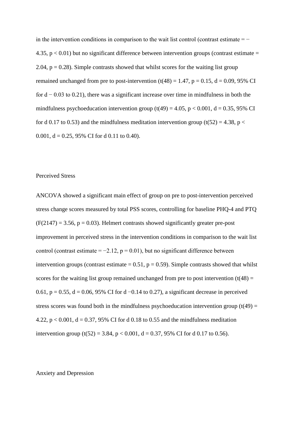in the intervention conditions in comparison to the wait list control (contrast estimate  $=$   $-$ 4.35,  $p < 0.01$ ) but no significant difference between intervention groups (contrast estimate = 2.04,  $p = 0.28$ ). Simple contrasts showed that whilst scores for the waiting list group remained unchanged from pre to post-intervention  $(t(48) = 1.47, p = 0.15, d = 0.09, 95\% \text{ CI}$ for  $d - 0.03$  to 0.21), there was a significant increase over time in mindfulness in both the mindfulness psychoeducation intervention group (t(49) = 4.05, p < 0.001, d = 0.35, 95% CI for d 0.17 to 0.53) and the mindfulness meditation intervention group (t(52) = 4.38, p < 0.001,  $d = 0.25$ , 95% CI for d 0.11 to 0.40).

#### Perceived Stress

ANCOVA showed a significant main effect of group on pre to post-intervention perceived stress change scores measured by total PSS scores, controlling for baseline PHQ-4 and PTQ  $(F(2147) = 3.56, p = 0.03)$ . Helmert contrasts showed significantly greater pre-post improvement in perceived stress in the intervention conditions in comparison to the wait list control (contrast estimate =  $-2.12$ , p = 0.01), but no significant difference between intervention groups (contrast estimate  $= 0.51$ ,  $p = 0.59$ ). Simple contrasts showed that whilst scores for the waiting list group remained unchanged from pre to post intervention  $(t(48) =$ 0.61,  $p = 0.55$ ,  $d = 0.06$ , 95% CI for d  $-0.14$  to 0.27), a significant decrease in perceived stress scores was found both in the mindfulness psychoeducation intervention group  $(t(49) =$ 4.22,  $p < 0.001$ ,  $d = 0.37$ , 95% CI for d 0.18 to 0.55 and the mindfulness meditation intervention group (t(52) = 3.84, p < 0.001, d = 0.37, 95% CI for d 0.17 to 0.56).

Anxiety and Depression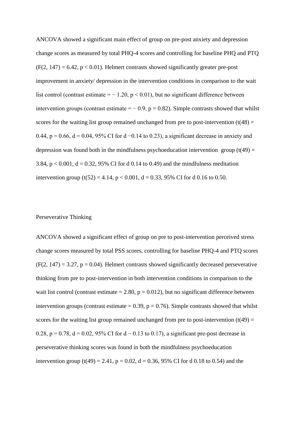ANCOVA showed a significant main effect of group on pre-post anxiety and depression change scores as measured by total PHQ-4 scores and controlling for baseline PHQ and PTQ  $(F(2, 147) = 6.42, p < 0.01)$ . Helmert contrasts showed significantly greater pre-post improvement in anxiety/ depression in the intervention conditions in comparison to the wait list control (contrast estimate =  $-1.20$ , p < 0.01), but no significant difference between intervention groups (contrast estimate =  $-0.9$ , p = 0.82). Simple contrasts showed that whilst scores for the waiting list group remained unchanged from pre to post-intervention  $(t(48) =$ 0.44, p = 0.66, d = 0.04, 95% CI for d −0.14 to 0.23), a significant decrease in anxiety and depression was found both in the mindfulness psychoeducation intervention group  $(t(49) =$ 3.84,  $p < 0.001$ ,  $d = 0.32$ , 95% CI for d 0.14 to 0.49) and the mindfulness meditation intervention group (t(52) = 4.14,  $p < 0.001$ , d = 0.33, 95% CI for d 0.16 to 0.50.

# Perseverative Thinking

ANCOVA showed a significant effect of group on pre to post-intervention perceived stress change scores measured by total PSS scores, controlling for baseline PHQ-4 and PTQ scores  $(F(2, 147) = 3.27, p = 0.04)$ . Helmert contrasts showed significantly decreased perseverative thinking from pre to post-intervention in both intervention conditions in comparison to the wait list control (contrast estimate  $= 2.80$ ,  $p = 0.012$ ), but no significant difference between intervention groups (contrast estimate  $= 0.39$ ,  $p = 0.76$ ). Simple contrasts showed that whilst scores for the waiting list group remained unchanged from pre to post-intervention  $(t(49) =$ 0.28, p = 0.78, d = 0.02, 95% CI for d – 0.13 to 0.17), a significant pre-post decrease in perseverative thinking scores was found in both the mindfulness psychoeducation intervention group (t(49) = 2.41,  $p = 0.02$ ,  $d = 0.36$ , 95% CI for d 0.18 to 0.54) and the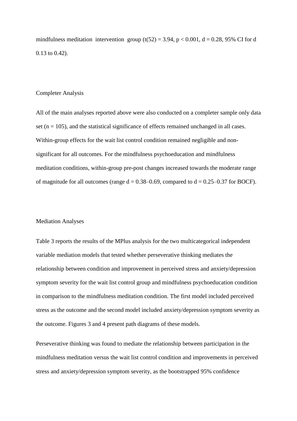mindfulness meditation intervention group  $(t(52) = 3.94, p < 0.001, d = 0.28, 95\%$  CI for d 0.13 to 0.42).

## Completer Analysis

All of the main analyses reported above were also conducted on a completer sample only data set ( $n = 105$ ), and the statistical significance of effects remained unchanged in all cases. Within-group effects for the wait list control condition remained negligible and nonsignificant for all outcomes. For the mindfulness psychoeducation and mindfulness meditation conditions, within-group pre-post changes increased towards the moderate range of magnitude for all outcomes (range  $d = 0.38 - 0.69$ , compared to  $d = 0.25 - 0.37$  for BOCF).

## Mediation Analyses

Table 3 reports the results of the MPlus analysis for the two multicategorical independent variable mediation models that tested whether perseverative thinking mediates the relationship between condition and improvement in perceived stress and anxiety/depression symptom severity for the wait list control group and mindfulness psychoeducation condition in comparison to the mindfulness meditation condition. The first model included perceived stress as the outcome and the second model included anxiety/depression symptom severity as the outcome. Figures 3 and 4 present path diagrams of these models.

Perseverative thinking was found to mediate the relationship between participation in the mindfulness meditation versus the wait list control condition and improvements in perceived stress and anxiety/depression symptom severity, as the bootstrapped 95% confidence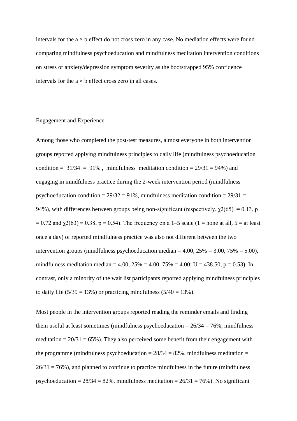intervals for the  $a \times b$  effect do not cross zero in any case. No mediation effects were found comparing mindfulness psychoeducation and mindfulness meditation intervention conditions on stress or anxiety/depression symptom severity as the bootstrapped 95% confidence intervals for the  $a \times b$  effect cross zero in all cases.

# Engagement and Experience

Among those who completed the post-test measures, almost everyone in both intervention groups reported applying mindfulness principles to daily life (mindfulness psychoeducation condition =  $31/34 = 91\%$ , mindfulness meditation condition =  $29/31 = 94\%$ ) and engaging in mindfulness practice during the 2-week intervention period (mindfulness psychoeducation condition =  $29/32 = 91\%$ , mindfulness meditation condition =  $29/31 =$ 94%), with differences between groups being non-significant (respectively,  $\chi$ 2(65) = 0.13, p  $= 0.72$  and  $\gamma(63) = 0.38$ , p = 0.54). The frequency on a 1–5 scale (1 = none at all, 5 = at least once a day) of reported mindfulness practice was also not different between the two intervention groups (mindfulness psychoeducation median =  $4.00$ ,  $25\% = 3.00$ ,  $75\% = 5.00$ ), mindfulness meditation median = 4.00,  $25\% = 4.00$ ,  $75\% = 4.00$ ; U = 438.50, p = 0.53). In contrast, only a minority of the wait list participants reported applying mindfulness principles to daily life  $(5/39 = 13\%)$  or practicing mindfulness  $(5/40 = 13\%).$ 

Most people in the intervention groups reported reading the reminder emails and finding them useful at least sometimes (mindfulness psychoeducation  $= 26/34 = 76\%$ , mindfulness meditation  $= 20/31 = 65\%$ ). They also perceived some benefit from their engagement with the programme (mindfulness psychoeducation  $= 28/34 = 82\%$ , mindfulness meditation  $=$  $26/31 = 76\%$ ), and planned to continue to practice mindfulness in the future (mindfulness psychoeducation =  $28/34 = 82\%$ , mindfulness meditation =  $26/31 = 76\%$ ). No significant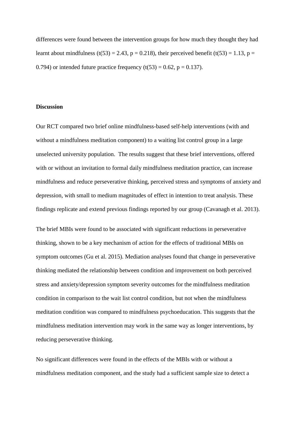differences were found between the intervention groups for how much they thought they had learnt about mindfulness (t(53) = 2.43, p = 0.218), their perceived benefit (t(53) = 1.13, p = 0.794) or intended future practice frequency  $(t(53) = 0.62, p = 0.137)$ .

# **Discussion**

Our RCT compared two brief online mindfulness-based self-help interventions (with and without a mindfulness meditation component) to a waiting list control group in a large unselected university population. The results suggest that these brief interventions, offered with or without an invitation to formal daily mindfulness meditation practice, can increase mindfulness and reduce perseverative thinking, perceived stress and symptoms of anxiety and depression, with small to medium magnitudes of effect in intention to treat analysis. These findings replicate and extend previous findings reported by our group (Cavanagh et al. 2013).

The brief MBIs were found to be associated with significant reductions in perseverative thinking, shown to be a key mechanism of action for the effects of traditional MBIs on symptom outcomes (Gu et al. 2015). Mediation analyses found that change in perseverative thinking mediated the relationship between condition and improvement on both perceived stress and anxiety/depression symptom severity outcomes for the mindfulness meditation condition in comparison to the wait list control condition, but not when the mindfulness meditation condition was compared to mindfulness psychoeducation. This suggests that the mindfulness meditation intervention may work in the same way as longer interventions, by reducing perseverative thinking.

No significant differences were found in the effects of the MBIs with or without a mindfulness meditation component, and the study had a sufficient sample size to detect a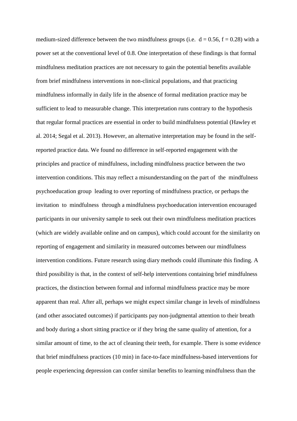medium-sized difference between the two mindfulness groups (i.e.  $d = 0.56$ ,  $f = 0.28$ ) with a power set at the conventional level of 0.8. One interpretation of these findings is that formal mindfulness meditation practices are not necessary to gain the potential benefits available from brief mindfulness interventions in non-clinical populations, and that practicing mindfulness informally in daily life in the absence of formal meditation practice may be sufficient to lead to measurable change. This interpretation runs contrary to the hypothesis that regular formal practices are essential in order to build mindfulness potential (Hawley et al. 2014; Segal et al. 2013). However, an alternative interpretation may be found in the selfreported practice data. We found no difference in self-reported engagement with the principles and practice of mindfulness, including mindfulness practice between the two intervention conditions. This may reflect a misunderstanding on the part of the mindfulness psychoeducation group leading to over reporting of mindfulness practice, or perhaps the invitation to mindfulness through a mindfulness psychoeducation intervention encouraged participants in our university sample to seek out their own mindfulness meditation practices (which are widely available online and on campus), which could account for the similarity on reporting of engagement and similarity in measured outcomes between our mindfulness intervention conditions. Future research using diary methods could illuminate this finding. A third possibility is that, in the context of self-help interventions containing brief mindfulness practices, the distinction between formal and informal mindfulness practice may be more apparent than real. After all, perhaps we might expect similar change in levels of mindfulness (and other associated outcomes) if participants pay non-judgmental attention to their breath and body during a short sitting practice or if they bring the same quality of attention, for a similar amount of time, to the act of cleaning their teeth, for example. There is some evidence that brief mindfulness practices (10 min) in face-to-face mindfulness-based interventions for people experiencing depression can confer similar benefits to learning mindfulness than the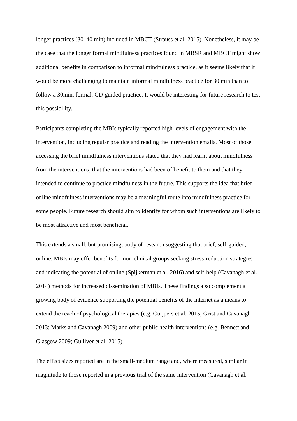longer practices (30–40 min) included in MBCT (Strauss et al. 2015). Nonetheless, it may be the case that the longer formal mindfulness practices found in MBSR and MBCT might show additional benefits in comparison to informal mindfulness practice, as it seems likely that it would be more challenging to maintain informal mindfulness practice for 30 min than to follow a 30min, formal, CD-guided practice. It would be interesting for future research to test this possibility.

Participants completing the MBIs typically reported high levels of engagement with the intervention, including regular practice and reading the intervention emails. Most of those accessing the brief mindfulness interventions stated that they had learnt about mindfulness from the interventions, that the interventions had been of benefit to them and that they intended to continue to practice mindfulness in the future. This supports the idea that brief online mindfulness interventions may be a meaningful route into mindfulness practice for some people. Future research should aim to identify for whom such interventions are likely to be most attractive and most beneficial.

This extends a small, but promising, body of research suggesting that brief, self-guided, online, MBIs may offer benefits for non-clinical groups seeking stress-reduction strategies and indicating the potential of online (Spijkerman et al. 2016) and self-help (Cavanagh et al. 2014) methods for increased dissemination of MBIs. These findings also complement a growing body of evidence supporting the potential benefits of the internet as a means to extend the reach of psychological therapies (e.g. Cuijpers et al. 2015; Grist and Cavanagh 2013; Marks and Cavanagh 2009) and other public health interventions (e.g. Bennett and Glasgow 2009; Gulliver et al. 2015).

The effect sizes reported are in the small-medium range and, where measured, similar in magnitude to those reported in a previous trial of the same intervention (Cavanagh et al.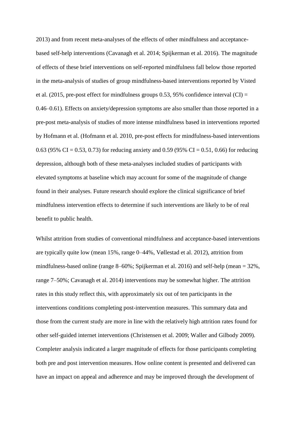2013) and from recent meta-analyses of the effects of other mindfulness and acceptancebased self-help interventions (Cavanagh et al. 2014; Spijkerman et al. 2016). The magnitude of effects of these brief interventions on self-reported mindfulness fall below those reported in the meta-analysis of studies of group mindfulness-based interventions reported by Visted et al. (2015, pre-post effect for mindfulness groups 0.53, 95% confidence interval (CI) = 0.46–0.61). Effects on anxiety/depression symptoms are also smaller than those reported in a pre-post meta-analysis of studies of more intense mindfulness based in interventions reported by Hofmann et al. (Hofmann et al. 2010, pre-post effects for mindfulness-based interventions 0.63 (95% CI = 0.53, 0.73) for reducing anxiety and 0.59 (95% CI = 0.51, 0.66) for reducing depression, although both of these meta-analyses included studies of participants with elevated symptoms at baseline which may account for some of the magnitude of change found in their analyses. Future research should explore the clinical significance of brief mindfulness intervention effects to determine if such interventions are likely to be of real benefit to public health.

Whilst attrition from studies of conventional mindfulness and acceptance-based interventions are typically quite low (mean 15%, range 0–44%, Vøllestad et al. 2012), attrition from mindfulness-based online (range 8–60%; Spijkerman et al. 2016) and self-help (mean = 32%, range 7–50%; Cavanagh et al. 2014) interventions may be somewhat higher. The attrition rates in this study reflect this, with approximately six out of ten participants in the interventions conditions completing post-intervention measures. This summary data and those from the current study are more in line with the relatively high attrition rates found for other self-guided internet interventions (Christensen et al. 2009; Waller and Gilbody 2009). Completer analysis indicated a larger magnitude of effects for those participants completing both pre and post intervention measures. How online content is presented and delivered can have an impact on appeal and adherence and may be improved through the development of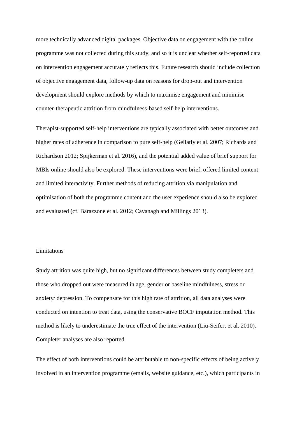more technically advanced digital packages. Objective data on engagement with the online programme was not collected during this study, and so it is unclear whether self-reported data on intervention engagement accurately reflects this. Future research should include collection of objective engagement data, follow-up data on reasons for drop-out and intervention development should explore methods by which to maximise engagement and minimise counter-therapeutic attrition from mindfulness-based self-help interventions.

Therapist-supported self-help interventions are typically associated with better outcomes and higher rates of adherence in comparison to pure self-help (Gellatly et al. 2007; Richards and Richardson 2012; Spijkerman et al. 2016), and the potential added value of brief support for MBIs online should also be explored. These interventions were brief, offered limited content and limited interactivity. Further methods of reducing attrition via manipulation and optimisation of both the programme content and the user experience should also be explored and evaluated (cf. Barazzone et al. 2012; Cavanagh and Millings 2013).

# Limitations

Study attrition was quite high, but no significant differences between study completers and those who dropped out were measured in age, gender or baseline mindfulness, stress or anxiety/ depression. To compensate for this high rate of attrition, all data analyses were conducted on intention to treat data, using the conservative BOCF imputation method. This method is likely to underestimate the true effect of the intervention (Liu-Seifert et al. 2010). Completer analyses are also reported.

The effect of both interventions could be attributable to non-specific effects of being actively involved in an intervention programme (emails, website guidance, etc.), which participants in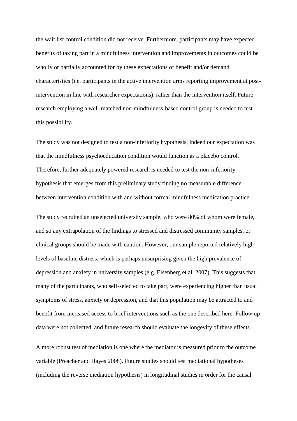the wait list control condition did not receive. Furthermore, participants may have expected benefits of taking part in a mindfulness intervention and improvements in outcomes could be wholly or partially accounted for by these expectations of benefit and/or demand characteristics (i.e. participants in the active intervention arms reporting improvement at postintervention in line with researcher expectations), rather than the intervention itself. Future research employing a well-matched non-mindfulness-based control group is needed to test this possibility.

The study was not designed to test a non-inferiority hypothesis, indeed our expectation was that the mindfulness psychoeducation condition would function as a placebo control. Therefore, further adequately powered research is needed to test the non-inferiority hypothesis that emerges from this preliminary study finding no measurable difference between intervention condition with and without formal mindfulness medication practice.

The study recruited an unselected university sample, who were 80% of whom were female, and so any extrapolation of the findings to stressed and distressed community samples, or clinical groups should be made with caution. However, our sample reported relatively high levels of baseline distress, which is perhaps unsurprising given the high prevalence of depression and anxiety in university samples (e.g. Eisenberg et al. 2007). This suggests that many of the participants, who self-selected to take part, were experiencing higher than usual symptoms of stress, anxiety or depression, and that this population may be attracted to and benefit from increased access to brief interventions such as the one described here. Follow up data were not collected, and future research should evaluate the longevity of these effects.

A more robust test of mediation is one where the mediator is measured prior to the outcome variable (Preacher and Hayes 2008). Future studies should test mediational hypotheses (including the reverse mediation hypothesis) in longitudinal studies in order for the causal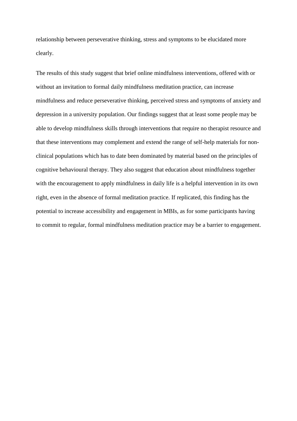relationship between perseverative thinking, stress and symptoms to be elucidated more clearly.

The results of this study suggest that brief online mindfulness interventions, offered with or without an invitation to formal daily mindfulness meditation practice, can increase mindfulness and reduce perseverative thinking, perceived stress and symptoms of anxiety and depression in a university population. Our findings suggest that at least some people may be able to develop mindfulness skills through interventions that require no therapist resource and that these interventions may complement and extend the range of self-help materials for nonclinical populations which has to date been dominated by material based on the principles of cognitive behavioural therapy. They also suggest that education about mindfulness together with the encouragement to apply mindfulness in daily life is a helpful intervention in its own right, even in the absence of formal meditation practice. If replicated, this finding has the potential to increase accessibility and engagement in MBIs, as for some participants having to commit to regular, formal mindfulness meditation practice may be a barrier to engagement.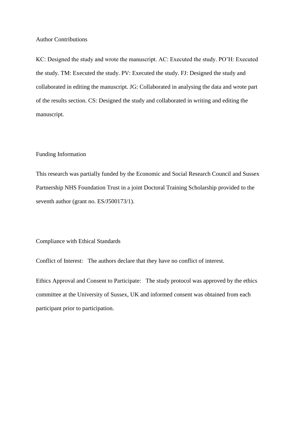### Author Contributions

KC: Designed the study and wrote the manuscript. AC: Executed the study. PO'H: Executed the study. TM: Executed the study. PV: Executed the study. FJ: Designed the study and collaborated in editing the manuscript. JG: Collaborated in analysing the data and wrote part of the results section. CS: Designed the study and collaborated in writing and editing the manuscript.

### Funding Information

This research was partially funded by the Economic and Social Research Council and Sussex Partnership NHS Foundation Trust in a joint Doctoral Training Scholarship provided to the seventh author (grant no. ES/J500173/1).

# Compliance with Ethical Standards

Conflict of Interest: The authors declare that they have no conflict of interest.

Ethics Approval and Consent to Participate: The study protocol was approved by the ethics committee at the University of Sussex, UK and informed consent was obtained from each participant prior to participation.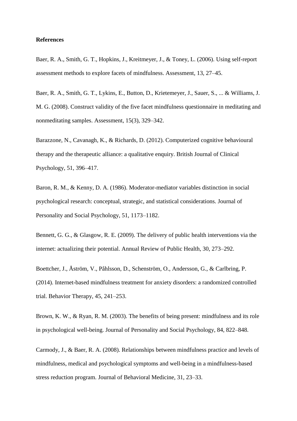## **References**

Baer, R. A., Smith, G. T., Hopkins, J., Kreitmeyer, J., & Toney, L. (2006). Using self-report assessment methods to explore facets of mindfulness. Assessment, 13, 27–45.

Baer, R. A., Smith, G. T., Lykins, E., Button, D., Krietemeyer, J., Sauer, S., ... & Williams, J. M. G. (2008). Construct validity of the five facet mindfulness questionnaire in meditating and nonmeditating samples. Assessment, 15(3), 329–342.

Barazzone, N., Cavanagh, K., & Richards, D. (2012). Computerized cognitive behavioural therapy and the therapeutic alliance: a qualitative enquiry. British Journal of Clinical Psychology, 51, 396–417.

Baron, R. M., & Kenny, D. A. (1986). Moderator-mediator variables distinction in social psychological research: conceptual, strategic, and statistical considerations. Journal of Personality and Social Psychology, 51, 1173–1182.

Bennett, G. G., & Glasgow, R. E. (2009). The delivery of public health interventions via the internet: actualizing their potential. Annual Review of Public Health, 30, 273–292.

Boettcher, J., Åström, V., Påhlsson, D., Schenström, O., Andersson, G., & Carlbring, P. (2014). Internet-based mindfulness treatment for anxiety disorders: a randomized controlled trial. Behavior Therapy, 45, 241–253.

Brown, K. W., & Ryan, R. M. (2003). The benefits of being present: mindfulness and its role in psychological well-being. Journal of Personality and Social Psychology, 84, 822–848.

Carmody, J., & Baer, R. A. (2008). Relationships between mindfulness practice and levels of mindfulness, medical and psychological symptoms and well-being in a mindfulness-based stress reduction program. Journal of Behavioral Medicine, 31, 23–33.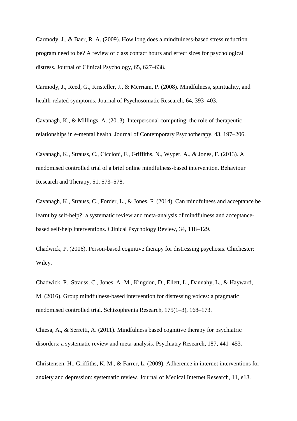Carmody, J., & Baer, R. A. (2009). How long does a mindfulness-based stress reduction program need to be? A review of class contact hours and effect sizes for psychological distress. Journal of Clinical Psychology, 65, 627–638.

Carmody, J., Reed, G., Kristeller, J., & Merriam, P. (2008). Mindfulness, spirituality, and health-related symptoms. Journal of Psychosomatic Research, 64, 393–403.

Cavanagh, K., & Millings, A. (2013). Interpersonal computing: the role of therapeutic relationships in e-mental health. Journal of Contemporary Psychotherapy, 43, 197–206.

Cavanagh, K., Strauss, C., Ciccioni, F., Griffiths, N., Wyper, A., & Jones, F. (2013). A randomised controlled trial of a brief online mindfulness-based intervention. Behaviour Research and Therapy, 51, 573–578.

Cavanagh, K., Strauss, C., Forder, L., & Jones, F. (2014). Can mindfulness and acceptance be learnt by self-help?: a systematic review and meta-analysis of mindfulness and acceptancebased self-help interventions. Clinical Psychology Review, 34, 118–129.

Chadwick, P. (2006). Person-based cognitive therapy for distressing psychosis. Chichester: Wiley.

Chadwick, P., Strauss, C., Jones, A.-M., Kingdon, D., Ellett, L., Dannahy, L., & Hayward, M. (2016). Group mindfulness-based intervention for distressing voices: a pragmatic randomised controlled trial. Schizophrenia Research, 175(1–3), 168–173.

Chiesa, A., & Serretti, A. (2011). Mindfulness based cognitive therapy for psychiatric disorders: a systematic review and meta-analysis. Psychiatry Research, 187, 441–453.

Christensen, H., Griffiths, K. M., & Farrer, L. (2009). Adherence in internet interventions for anxiety and depression: systematic review. Journal of Medical Internet Research, 11, e13.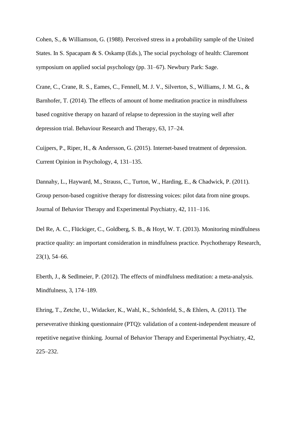Cohen, S., & Williamson, G. (1988). Perceived stress in a probability sample of the United States. In S. Spacapam & S. Oskamp (Eds.), The social psychology of health: Claremont symposium on applied social psychology (pp. 31–67). Newbury Park: Sage.

Crane, C., Crane, R. S., Eames, C., Fennell, M. J. V., Silverton, S., Williams, J. M. G., & Barnhofer, T. (2014). The effects of amount of home meditation practice in mindfulness based cognitive therapy on hazard of relapse to depression in the staying well after depression trial. Behaviour Research and Therapy, 63, 17–24.

Cuijpers, P., Riper, H., & Andersson, G. (2015). Internet-based treatment of depression. Current Opinion in Psychology, 4, 131–135.

Dannahy, L., Hayward, M., Strauss, C., Turton, W., Harding, E., & Chadwick, P. (2011). Group person-based cognitive therapy for distressing voices: pilot data from nine groups. Journal of Behavior Therapy and Experimental Psychiatry, 42, 111–116.

Del Re, A. C., Flückiger, C., Goldberg, S. B., & Hoyt, W. T. (2013). Monitoring mindfulness practice quality: an important consideration in mindfulness practice. Psychotherapy Research, 23(1), 54–66.

Eberth, J., & Sedlmeier, P. (2012). The effects of mindfulness meditation: a meta-analysis. Mindfulness, 3, 174–189.

Ehring, T., Zetche, U., Widacker, K., Wahl, K., Schönfeld, S., & Ehlers, A. (2011). The perseverative thinking questionnaire (PTQ): validation of a content-independent measure of repetitive negative thinking. Journal of Behavior Therapy and Experimental Psychiatry, 42, 225–232.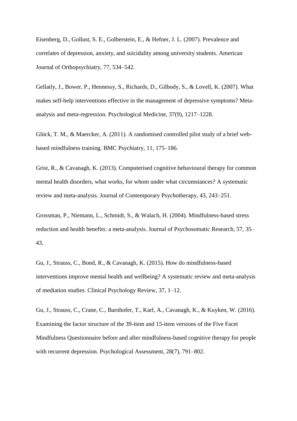Eisenberg, D., Gollust, S. E., Golberstein, E., & Hefner, J. L. (2007). Prevalence and correlates of depression, anxiety, and suicidality among university students. American Journal of Orthopsychiatry, 77, 534–542.

Gellatly, J., Bower, P., Hennessy, S., Richards, D., Gilbody, S., & Lovell, K. (2007). What makes self-help interventions effective in the management of depressive symptoms? Metaanalysis and meta-regression. Psychological Medicine, 37(9), 1217–1228.

Glück, T. M., & Maercker, A. (2011). A randomised controlled pilot study of a brief webbased mindfulness training. BMC Psychiatry, 11, 175–186.

Grist, R., & Cavanagh, K. (2013). Computerised cognitive behavioural therapy for common mental health disorders, what works, for whom under what circumstances? A systematic review and meta-analysis. Journal of Contemporary Psychotherapy, 43, 243–251.

Grossman, P., Niemann, L., Schmidt, S., & Walach, H. (2004). Mindfulness-based stress reduction and health benefits: a meta-analysis. Journal of Psychosomatic Research, 57, 35– 43.

Gu, J., Strauss, C., Bond, R., & Cavanagh, K. (2015). How do mindfulness-based interventions improve mental health and wellbeing? A systematic review and meta-analysis of mediation studies. Clinical Psychology Review, 37, 1–12.

Gu, J., Strauss, C., Crane, C., Barnhofer, T., Karl, A., Cavanagh, K., & Kuyken, W. (2016). Examining the factor structure of the 39-item and 15-item versions of the Five Facet Mindfulness Questionnaire before and after mindfulness-based cognitive therapy for people with recurrent depression. Psychological Assessment, 28(7), 791–802.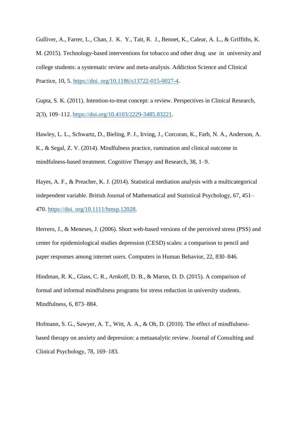Gulliver, A., Farrer, L., Chan, J. K. Y., Tait, R. J., Bennet, K., Calear, A. L., & Griffiths, K. M. (2015). Technology-based interventions for tobacco and other drug use in university and college students: a systematic review and meta-analysis. Addiction Science and Clinical Practice, 10, 5. [https://doi. org/10.1186/s13722-015-0027-4.](https://doi.org/10.1186/s13722-015-0027-4)

Gupta, S. K. (2011). Intention-to-treat concept: a review. Perspectives in Clinical Research, 2(3), 109–112. [https://doi.org/10.4103/2229-3485.83221.](https://doi.org/10.4103/2229-3485.83221)

Hawley, L. L., Schwartz, D., Bieling, P. J., Irving, J., Corcoran, K., Farb, N. A., Anderson, A. K., & Segal, Z. V. (2014). Mindfulness practice, rumination and clinical outcome in mindfulness-based treatment. Cognitive Therapy and Research, 38, 1–9.

Hayes, A. F., & Preacher, K. J. (2014). Statistical mediation analysis with a multicategorical independent variable. British Journal of Mathematical and Statistical Psychology, 67, 451– 470. [https://doi. org/10.1111/bmsp.12028.](https://doi.org/10.1111/bmsp.12028)

Herrero, J., & Meneses, J. (2006). Short web-based versions of the perceived stress (PSS) and center for epidemiological studies depression (CESD) scales: a comparison to pencil and paper responses among internet users. Computers in Human Behavior, 22, 830–846.

Hindman, R. K., Glass, C. R., Arnkoff, D. B., & Maron, D. D. (2015). A comparison of formal and informal mindfulness programs for stress reduction in university students. Mindfulness, 6, 873–884.

Hofmann, S. G., Sawyer, A. T., Witt, A. A., & Oh, D. (2010). The effect of mindfulnessbased therapy on anxiety and depression: a metaanalytic review. Journal of Consulting and Clinical Psychology, 78, 169–183.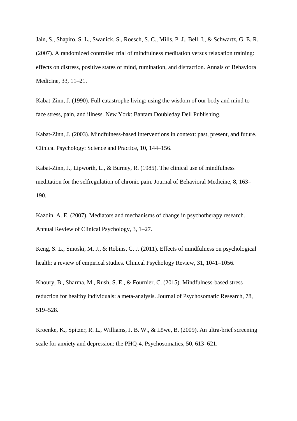Jain, S., Shapiro, S. L., Swanick, S., Roesch, S. C., Mills, P. J., Bell, I., & Schwartz, G. E. R. (2007). A randomized controlled trial of mindfulness meditation versus relaxation training: effects on distress, positive states of mind, rumination, and distraction. Annals of Behavioral Medicine, 33, 11–21.

Kabat-Zinn, J. (1990). Full catastrophe living: using the wisdom of our body and mind to face stress, pain, and illness. New York: Bantam Doubleday Dell Publishing.

Kabat-Zinn, J. (2003). Mindfulness-based interventions in context: past, present, and future. Clinical Psychology: Science and Practice, 10, 144–156.

Kabat-Zinn, J., Lipworth, L., & Burney, R. (1985). The clinical use of mindfulness meditation for the selfregulation of chronic pain. Journal of Behavioral Medicine, 8, 163– 190.

Kazdin, A. E. (2007). Mediators and mechanisms of change in psychotherapy research. Annual Review of Clinical Psychology, 3, 1–27.

Keng, S. L., Smoski, M. J., & Robins, C. J. (2011). Effects of mindfulness on psychological health: a review of empirical studies. Clinical Psychology Review, 31, 1041–1056.

Khoury, B., Sharma, M., Rush, S. E., & Fournier, C. (2015). Mindfulness-based stress reduction for healthy individuals: a meta-analysis. Journal of Psychosomatic Research, 78, 519–528.

Kroenke, K., Spitzer, R. L., Williams, J. B. W., & Löwe, B. (2009). An ultra-brief screening scale for anxiety and depression: the PHQ-4. Psychosomatics, 50, 613–621.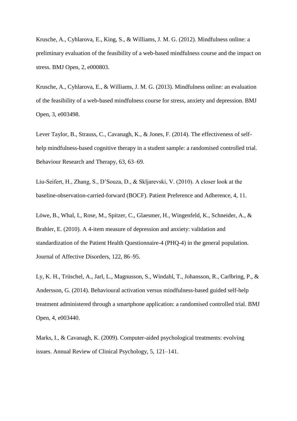Krusche, A., Cyhlarova, E., King, S., & Williams, J. M. G. (2012). Mindfulness online: a preliminary evaluation of the feasibility of a web-based mindfulness course and the impact on stress. BMJ Open, 2, e000803.

Krusche, A., Cyhlarova, E., & Williams, J. M. G. (2013). Mindfulness online: an evaluation of the feasibility of a web-based mindfulness course for stress, anxiety and depression. BMJ Open, 3, e003498.

Lever Taylor, B., Strauss, C., Cavanagh, K., & Jones, F. (2014). The effectiveness of selfhelp mindfulness-based cognitive therapy in a student sample: a randomised controlled trial. Behaviour Research and Therapy, 63, 63–69.

Liu-Seifert, H., Zhang, S., D'Souza, D., & Skljarevski, V. (2010). A closer look at the baseline-observation-carried-forward (BOCF). Patient Preference and Adherence, 4, 11.

Löwe, B., Whal, I., Rose, M., Spitzer, C., Glaesmer, H., Wingenfeld, K., Schneider, A., & Brahler, E. (2010). A 4-item measure of depression and anxiety: validation and standardization of the Patient Health Questionnaire-4 (PHQ-4) in the general population. Journal of Affective Disorders, 122, 86–95.

Ly, K. H., Trüschel, A., Jarl, L., Magnusson, S., Windahl, T., Johansson, R., Carlbring, P., & Andersson, G. (2014). Behavioural activation versus mindfulness-based guided self-help treatment administered through a smartphone application: a randomised controlled trial. BMJ Open, 4, e003440.

Marks, I., & Cavanagh, K. (2009). Computer-aided psychological treatments: evolving issues. Annual Review of Clinical Psychology, 5, 121–141.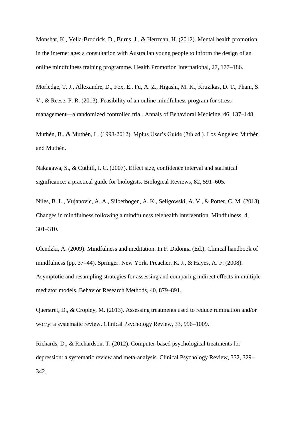Monshat, K., Vella-Brodrick, D., Burns, J., & Herrman, H. (2012). Mental health promotion in the internet age: a consultation with Australian young people to inform the design of an online mindfulness training programme. Health Promotion International, 27, 177–186.

Morledge, T. J., Allexandre, D., Fox, E., Fu, A. Z., Higashi, M. K., Kruzikas, D. T., Pham, S. V., & Reese, P. R. (2013). Feasibility of an online mindfulness program for stress management—a randomized controlled trial. Annals of Behavioral Medicine, 46, 137–148.

Muthén, B., & Muthén, L. (1998-2012). Mplus User's Guide (7th ed.). Los Angeles: Muthén and Muthén.

Nakagawa, S., & Cuthill, I. C. (2007). Effect size, confidence interval and statistical significance: a practical guide for biologists. Biological Reviews, 82, 591–605.

Niles, B. L., Vujanovic, A. A., Silberbogen, A. K., Seligowski, A. V., & Potter, C. M. (2013). Changes in mindfulness following a mindfulness telehealth intervention. Mindfulness, 4, 301–310.

Olendzki, A. (2009). Mindfulness and meditation. In F. Didonna (Ed.), Clinical handbook of mindfulness (pp. 37–44). Springer: New York. Preacher, K. J., & Hayes, A. F. (2008). Asymptotic and resampling strategies for assessing and comparing indirect effects in multiple mediator models. Behavior Research Methods, 40, 879–891.

Querstret, D., & Cropley, M. (2013). Assessing treatments used to reduce rumination and/or worry: a systematic review. Clinical Psychology Review, 33, 996–1009.

Richards, D., & Richardson, T. (2012). Computer-based psychological treatments for depression: a systematic review and meta-analysis. Clinical Psychology Review, 332, 329– 342.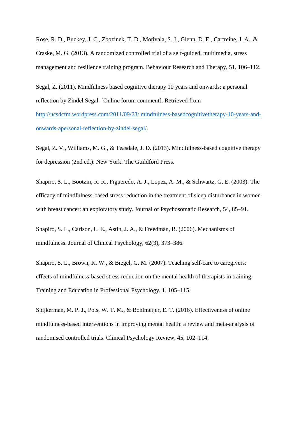Rose, R. D., Buckey, J. C., Zbozinek, T. D., Motivala, S. J., Glenn, D. E., Cartreine, J. A., & Craske, M. G. (2013). A randomized controlled trial of a self-guided, multimedia, stress management and resilience training program. Behaviour Research and Therapy, 51, 106–112.

Segal, Z. (2011). Mindfulness based cognitive therapy 10 years and onwards: a personal reflection by Zindel Segal. [Online forum comment]. Retrieved from

[http://ucsdcfm.wordpress.com/2011/09/23/ mindfulness-basedcognitivetherapy-10-years-and](http://ucsdcfm.wordpress.com/2011/09/23/mindfulness-basedcognitivetherapy-10-years-and-onwards-a-personal-reflection-by-zindel-segal/)[onwards-apersonal-reflection-by-zindel-segal/.](http://ucsdcfm.wordpress.com/2011/09/23/mindfulness-basedcognitivetherapy-10-years-and-onwards-a-personal-reflection-by-zindel-segal/)

Segal, Z. V., Williams, M. G., & Teasdale, J. D. (2013). Mindfulness-based cognitive therapy for depression (2nd ed.). New York: The Guildford Press.

Shapiro, S. L., Bootzin, R. R., Figueredo, A. J., Lopez, A. M., & Schwartz, G. E. (2003). The efficacy of mindfulness-based stress reduction in the treatment of sleep disturbance in women with breast cancer: an exploratory study. Journal of Psychosomatic Research, 54, 85–91.

Shapiro, S. L., Carlson, L. E., Astin, J. A., & Freedman, B. (2006). Mechanisms of mindfulness. Journal of Clinical Psychology, 62(3), 373–386.

Shapiro, S. L., Brown, K. W., & Biegel, G. M. (2007). Teaching self-care to caregivers: effects of mindfulness-based stress reduction on the mental health of therapists in training. Training and Education in Professional Psychology, 1, 105–115.

Spijkerman, M. P. J., Pots, W. T. M., & Bohlmeijer, E. T. (2016). Effectiveness of online mindfulness-based interventions in improving mental health: a review and meta-analysis of randomised controlled trials. Clinical Psychology Review, 45, 102–114.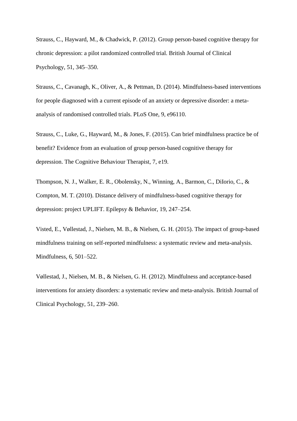Strauss, C., Hayward, M., & Chadwick, P. (2012). Group person-based cognitive therapy for chronic depression: a pilot randomized controlled trial. British Journal of Clinical Psychology, 51, 345–350.

Strauss, C., Cavanagh, K., Oliver, A., & Pettman, D. (2014). Mindfulness-based interventions for people diagnosed with a current episode of an anxiety or depressive disorder: a metaanalysis of randomised controlled trials. PLoS One, 9, e96110.

Strauss, C., Luke, G., Hayward, M., & Jones, F. (2015). Can brief mindfulness practice be of benefit? Evidence from an evaluation of group person-based cognitive therapy for depression. The Cognitive Behaviour Therapist, 7, e19.

Thompson, N. J., Walker, E. R., Obolensky, N., Winning, A., Barmon, C., DiIorio, C., & Compton, M. T. (2010). Distance delivery of mindfulness-based cognitive therapy for depression: project UPLIFT. Epilepsy & Behavior, 19, 247–254.

Visted, E., Vøllestad, J., Nielsen, M. B., & Nielsen, G. H. (2015). The impact of group-based mindfulness training on self-reported mindfulness: a systematic review and meta-analysis. Mindfulness, 6, 501–522.

Vøllestad, J., Nielsen, M. B., & Nielsen, G. H. (2012). Mindfulness and acceptance-based interventions for anxiety disorders: a systematic review and meta-analysis. British Journal of Clinical Psychology, 51, 239–260.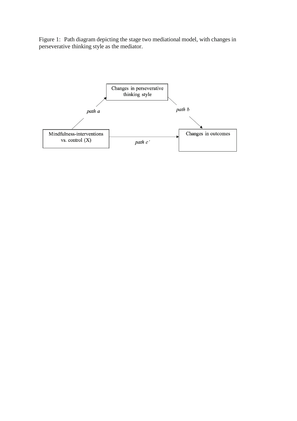Figure 1: Path diagram depicting the stage two mediational model, with changes in perseverative thinking style as the mediator.

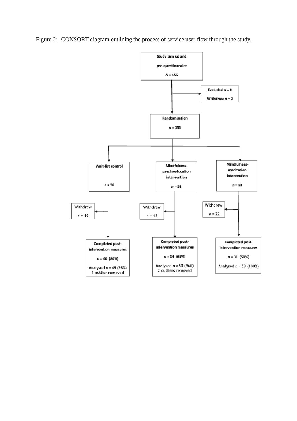Figure 2: CONSORT diagram outlining the process of service user flow through the study.

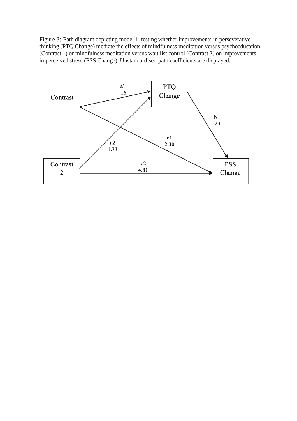Figure 3: Path diagram depicting model 1, testing whether improvements in perseverative thinking (PTQ Change) mediate the effects of mindfulness meditation versus psychoeducation (Contrast 1) or mindfulness meditation versus wait list control (Contrast 2) on improvements in perceived stress (PSS Change). Unstandardised path coefficients are displayed.

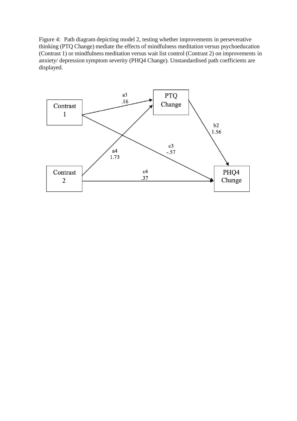Figure 4: Path diagram depicting model 2, testing whether improvements in perseverative thinking (PTQ Change) mediate the effects of mindfulness meditation versus psychoeducation (Contrast 1) or mindfulness meditation versus wait list control (Contrast 2) on improvements in anxiety/ depression symptom severity (PHQ4 Change). Unstandardised path coefficients are displayed.

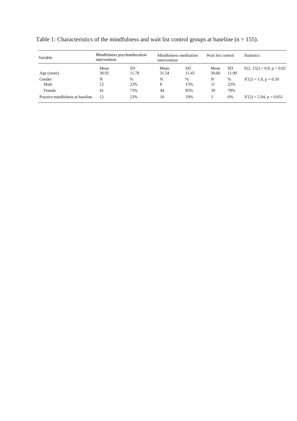| Variable                         | Mindfulness psychoeducation<br>intervention |                    | Mindfulness meditation<br>intervention |             | Wait list control |              | <b>Statistics</b>           |  |
|----------------------------------|---------------------------------------------|--------------------|----------------------------------------|-------------|-------------------|--------------|-----------------------------|--|
| Age (years)                      | Mean<br>30.92                               | <b>SD</b><br>11.78 | Mean<br>31.54                          | SD<br>11.45 | Mean<br>30.60     | SD.<br>11.90 | $F(2, 152) = 0.9, p = 0.92$ |  |
| Gender                           | N                                           | %                  | N                                      | $\%$        | N                 | $\%$         | $X^2(2) = 1.0$ , p = 0.59   |  |
| Male                             | 12                                          | 23%                | 8                                      | 15%         | 11                | 22%          |                             |  |
| Female                           | 41                                          | 73%                | 44                                     | 85%         | 39                | 78%          |                             |  |
| Practice mindfulness at baseline | 12                                          | 23%                | 10                                     | 19%         | 3                 | 6%           | $X^2(2) = 5.94$ , p = 0.051 |  |

Table 1: Characteristics of the mindfulness and wait list control groups at baseline ( $n = 155$ ).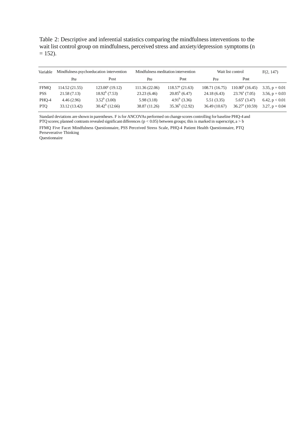Table 2: Descriptive and inferential statistics comparing the mindfulness interventions to the wait list control group on mindfulness, perceived stress and anxiety/depression symptoms (n  $= 152$ ).

| Variable    | Mindfulness psychoeducation intervention |                          |                | Mindfulness meditation intervention | Wait list control | F(2, 147)               |                     |
|-------------|------------------------------------------|--------------------------|----------------|-------------------------------------|-------------------|-------------------------|---------------------|
|             | Pre                                      | Post                     | Pre            | Post                                | Pre               | Post                    |                     |
| <b>FFMO</b> | 114.52 (21.55)                           | $123.00^{\circ}$ (19.12) | 111.36 (22.06) | $118.57a$ (21.63)                   | 108.71 (16.75)    | $110.80^b$ (16.45)      | $3.35, p = 0.01$    |
| <b>PSS</b>  | 21.58(7.13)                              | $18.92^b$ (7.53)         | 23.23(6.46)    | $20.85^b$ (6.47)                    | 24.18(6.43)       | $23.76^{\circ}$ (7.05)  | $3.56$ , $p = 0.03$ |
| PHQ-4       | 4.46(2.96)                               | $3.52^b$ (3.00)          | 5.98(3.18)     | $4.91b$ (3.36)                      | 5.51(3.35)        | $5.65^{\circ}$ (3.47)   | 6.42, $p < 0.01$    |
| <b>PTO</b>  | 33.12 (13.42)                            | $30.42^b$ (12.66)        | 38.87 (11.26)  | $35.36^b$ (12.92)                   | 36.49(10.67)      | $36.27^{\circ}$ (10.59) | $3.27, p = 0.04$    |

Standard deviations are shown in parentheses. F is for ANCOVAs performed on change scores controlling for baseline PHQ-4 and PTQ scores; planned contrasts revealed significant differences ( $p < 0.05$ ) between groups; this is marked in superscript,  $a > b$ 

FFMQ Five Facet Mindfulness Questionnaire, PSS Perceived Stress Scale, PHQ-4 Patient Health Questionnaire, PTQ Perseverative Thinking

Questionnaire